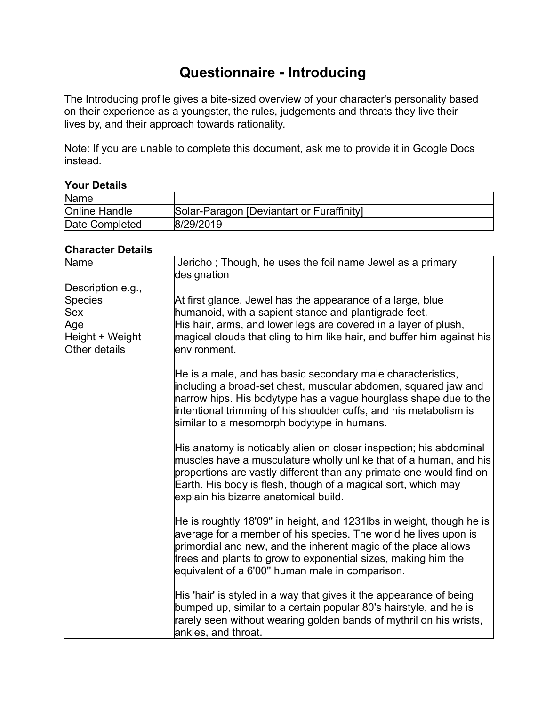# **Questionnaire - Introducing**

The Introducing profile gives a bite-sized overview of your character's personality based on their experience as a youngster, the rules, judgements and threats they live their lives by, and their approach towards rationality.

Note: If you are unable to complete this document, ask me to provide it in Google Docs instead.

#### **Your Details**

| Name                 |                                           |
|----------------------|-------------------------------------------|
| <b>Online Handle</b> | Solar-Paragon [Deviantart or Furaffinity] |
| Date Completed       | 8/29/2019                                 |

## **Character Details**

| Name                                                                                  | Jericho; Though, he uses the foil name Jewel as a primary<br>designation                                                                                                                                                                                                                                                      |
|---------------------------------------------------------------------------------------|-------------------------------------------------------------------------------------------------------------------------------------------------------------------------------------------------------------------------------------------------------------------------------------------------------------------------------|
| Description e.g.,<br>Species<br><b>Sex</b><br>Age<br>Height + Weight<br>Other details | At first glance, Jewel has the appearance of a large, blue<br>humanoid, with a sapient stance and plantigrade feet.<br>His hair, arms, and lower legs are covered in a layer of plush,<br>magical clouds that cling to him like hair, and buffer him against his<br>lenvironment.                                             |
|                                                                                       | He is a male, and has basic secondary male characteristics,<br>including a broad-set chest, muscular abdomen, squared jaw and<br>narrow hips. His bodytype has a vague hourglass shape due to the<br>intentional trimming of his shoulder cuffs, and his metabolism is<br>similar to a mesomorph bodytype in humans.          |
|                                                                                       | His anatomy is noticably alien on closer inspection; his abdominal<br>muscles have a musculature wholly unlike that of a human, and his<br>proportions are vastly different than any primate one would find on<br>Earth. His body is flesh, though of a magical sort, which may<br>explain his bizarre anatomical build.      |
|                                                                                       | He is roughtly 18'09" in height, and 1231lbs in weight, though he is<br>average for a member of his species. The world he lives upon is<br>primordial and new, and the inherent magic of the place allows<br>trees and plants to grow to exponential sizes, making him the<br>equivalent of a 6'00" human male in comparison. |
|                                                                                       | His 'hair' is styled in a way that gives it the appearance of being<br>bumped up, similar to a certain popular 80's hairstyle, and he is<br>rarely seen without wearing golden bands of mythril on his wrists,<br>ankles, and throat.                                                                                         |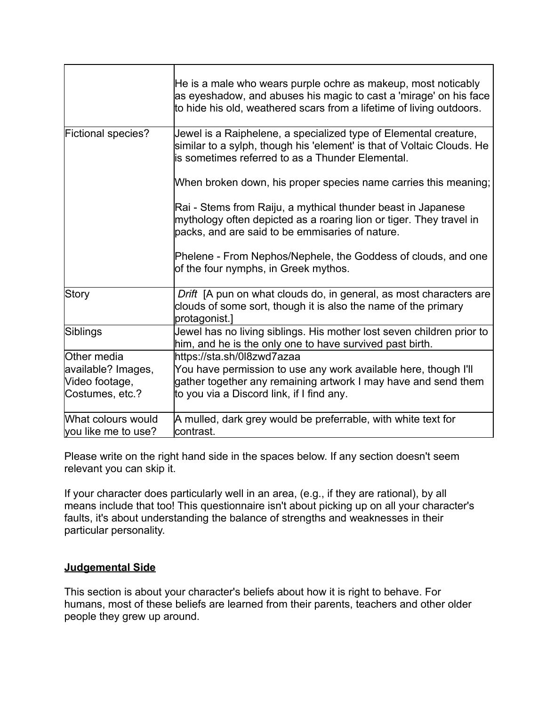|                                           | He is a male who wears purple ochre as makeup, most noticably<br>as eyeshadow, and abuses his magic to cast a 'mirage' on his face<br>to hide his old, weathered scars from a lifetime of living outdoors. |
|-------------------------------------------|------------------------------------------------------------------------------------------------------------------------------------------------------------------------------------------------------------|
| Fictional species?                        | Jewel is a Raiphelene, a specialized type of Elemental creature,<br>similar to a sylph, though his 'element' is that of Voltaic Clouds. He<br>is sometimes referred to as a Thunder Elemental.             |
|                                           | When broken down, his proper species name carries this meaning;                                                                                                                                            |
|                                           | Rai - Stems from Raiju, a mythical thunder beast in Japanese<br>mythology often depicted as a roaring lion or tiger. They travel in<br>packs, and are said to be emmisaries of nature.                     |
|                                           | Phelene - From Nephos/Nephele, the Goddess of clouds, and one<br>of the four nymphs, in Greek mythos.                                                                                                      |
| <b>Story</b>                              | Drift [A pun on what clouds do, in general, as most characters are<br>clouds of some sort, though it is also the name of the primary<br>protagonist.]                                                      |
| Siblings                                  | Jewel has no living siblings. His mother lost seven children prior to<br>him, and he is the only one to have survived past birth.                                                                          |
| Other media                               | https://sta.sh/0l8zwd7azaa                                                                                                                                                                                 |
| available? Images,                        | You have permission to use any work available here, though I'll                                                                                                                                            |
| Video footage,                            | gather together any remaining artwork I may have and send them                                                                                                                                             |
| Costumes, etc.?                           | to you via a Discord link, if I find any.                                                                                                                                                                  |
| What colours would<br>you like me to use? | A mulled, dark grey would be preferrable, with white text for<br>contrast.                                                                                                                                 |

Please write on the right hand side in the spaces below. If any section doesn't seem relevant you can skip it.

If your character does particularly well in an area, (e.g., if they are rational), by all means include that too! This questionnaire isn't about picking up on all your character's faults, it's about understanding the balance of strengths and weaknesses in their particular personality.

#### **Judgemental Side**

This section is about your character's beliefs about how it is right to behave. For humans, most of these beliefs are learned from their parents, teachers and other older people they grew up around.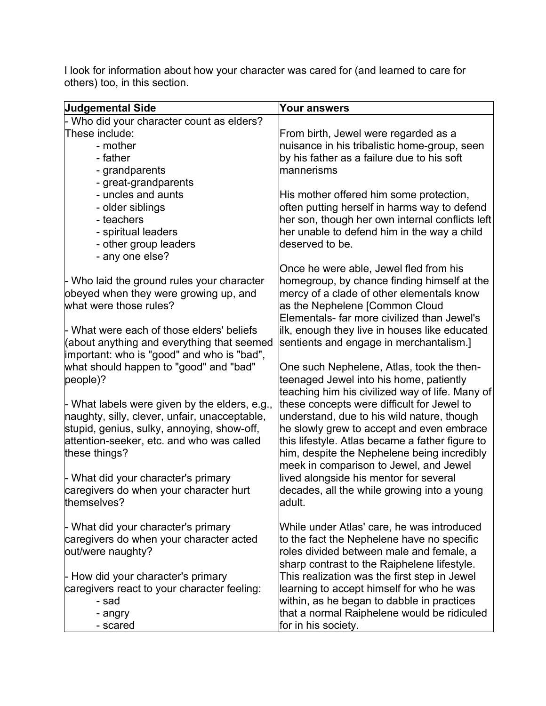I look for information about how your character was cared for (and learned to care for others) too, in this section.

| <b>Judgemental Side</b>                       | <b>Your answers</b>                             |
|-----------------------------------------------|-------------------------------------------------|
| Who did your character count as elders?       |                                                 |
| These include:                                | From birth, Jewel were regarded as a            |
| - mother                                      | nuisance in his tribalistic home-group, seen    |
| - father                                      | by his father as a failure due to his soft      |
| - grandparents                                | lmannerisms                                     |
| - great-grandparents                          |                                                 |
| - uncles and aunts                            | His mother offered him some protection,         |
| - older siblings                              | often putting herself in harms way to defend    |
| - teachers                                    | her son, though her own internal conflicts left |
| - spiritual leaders                           | her unable to defend him in the way a child     |
| - other group leaders                         | deserved to be.                                 |
| - any one else?                               |                                                 |
|                                               | Once he were able, Jewel fled from his          |
| - Who laid the ground rules your character    | homegroup, by chance finding himself at the     |
| obeyed when they were growing up, and         | mercy of a clade of other elementals know       |
| what were those rules?                        | as the Nephelene [Common Cloud                  |
|                                               | Elementals- far more civilized than Jewel's     |
| - What were each of those elders' beliefs     | ilk, enough they live in houses like educated   |
| (about anything and everything that seemed    | sentients and engage in merchantalism.]         |
| important: who is "good" and who is "bad",    |                                                 |
| what should happen to "good" and "bad"        | One such Nephelene, Atlas, took the then-       |
| people)?                                      | teenaged Jewel into his home, patiently         |
|                                               | teaching him his civilized way of life. Many of |
| - What labels were given by the elders, e.g., | these concepts were difficult for Jewel to      |
| naughty, silly, clever, unfair, unacceptable, | understand, due to his wild nature, though      |
| stupid, genius, sulky, annoying, show-off,    | he slowly grew to accept and even embrace       |
| attention-seeker, etc. and who was called     | this lifestyle. Atlas became a father figure to |
| these things?                                 | him, despite the Nephelene being incredibly     |
|                                               | meek in comparison to Jewel, and Jewel          |
| - What did your character's primary           | lived alongside his mentor for several          |
| caregivers do when your character hurt        | decades, all the while growing into a young     |
| themselves?                                   | adult.                                          |
|                                               |                                                 |
| - What did your character's primary           | While under Atlas' care, he was introduced      |
| caregivers do when your character acted       | to the fact the Nephelene have no specific      |
| out/were naughty?                             | roles divided between male and female, a        |
|                                               | sharp contrast to the Raiphelene lifestyle.     |
| - How did your character's primary            | This realization was the first step in Jewel    |
| caregivers react to your character feeling:   | learning to accept himself for who he was       |
| - sad                                         | within, as he began to dabble in practices      |
| - angry                                       | that a normal Raiphelene would be ridiculed     |
| - scared                                      | for in his society.                             |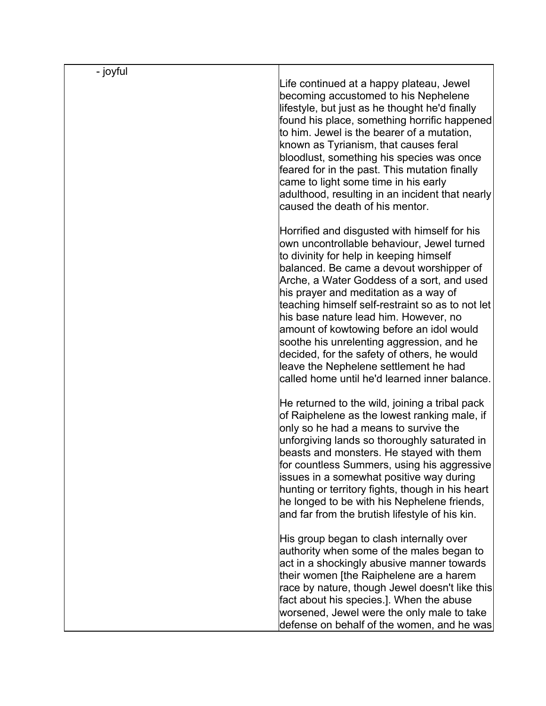| - joyful |                                                                                                                                                                                                                                                                                                                                                                                                                                                                                                                                                                                                         |
|----------|---------------------------------------------------------------------------------------------------------------------------------------------------------------------------------------------------------------------------------------------------------------------------------------------------------------------------------------------------------------------------------------------------------------------------------------------------------------------------------------------------------------------------------------------------------------------------------------------------------|
|          | Life continued at a happy plateau, Jewel<br>becoming accustomed to his Nephelene<br>lifestyle, but just as he thought he'd finally<br> found his place, something horrific happened <br>to him. Jewel is the bearer of a mutation,<br>known as Tyrianism, that causes feral<br>bloodlust, something his species was once<br>feared for in the past. This mutation finally<br>came to light some time in his early<br>adulthood, resulting in an incident that nearly<br>caused the death of his mentor.                                                                                                 |
|          | Horrified and disgusted with himself for his<br>own uncontrollable behaviour, Jewel turned<br>to divinity for help in keeping himself<br>balanced. Be came a devout worshipper of<br>Arche, a Water Goddess of a sort, and used<br>his prayer and meditation as a way of<br>teaching himself self-restraint so as to not let<br>his base nature lead him. However, no<br>amount of kowtowing before an idol would<br>soothe his unrelenting aggression, and he<br>decided, for the safety of others, he would<br>leave the Nephelene settlement he had<br>called home until he'd learned inner balance. |
|          | He returned to the wild, joining a tribal pack<br>of Raiphelene as the lowest ranking male, if<br>only so he had a means to survive the<br>unforgiving lands so thoroughly saturated in<br>beasts and monsters. He stayed with them<br>for countless Summers, using his aggressive<br>issues in a somewhat positive way during<br>hunting or territory fights, though in his heart<br>he longed to be with his Nephelene friends,<br>and far from the brutish lifestyle of his kin.                                                                                                                     |
|          | His group began to clash internally over<br>authority when some of the males began to<br>act in a shockingly abusive manner towards<br>their women [the Raiphelene are a harem<br>race by nature, though Jewel doesn't like this<br>fact about his species.]. When the abuse<br>worsened, Jewel were the only male to take<br>defense on behalf of the women, and he was                                                                                                                                                                                                                                |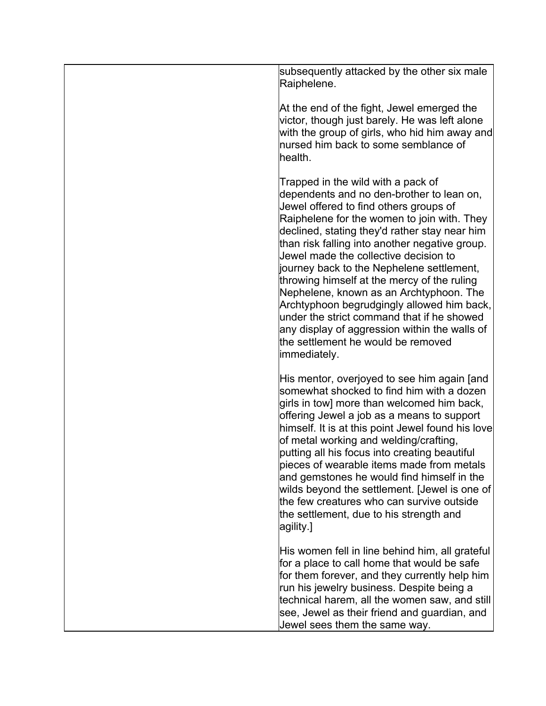| subsequently attacked by the other six male<br>Raiphelene.                                                                                                                                                                                                                                                                                                                                                                                                                                                                                                                                                                                                           |
|----------------------------------------------------------------------------------------------------------------------------------------------------------------------------------------------------------------------------------------------------------------------------------------------------------------------------------------------------------------------------------------------------------------------------------------------------------------------------------------------------------------------------------------------------------------------------------------------------------------------------------------------------------------------|
| At the end of the fight, Jewel emerged the<br>victor, though just barely. He was left alone<br>with the group of girls, who hid him away and<br>nursed him back to some semblance of<br>health.                                                                                                                                                                                                                                                                                                                                                                                                                                                                      |
| Trapped in the wild with a pack of<br>dependents and no den-brother to lean on,<br>Jewel offered to find others groups of<br>Raiphelene for the women to join with. They<br>declined, stating they'd rather stay near him<br>than risk falling into another negative group.<br>Jewel made the collective decision to<br>journey back to the Nephelene settlement,<br>throwing himself at the mercy of the ruling<br>Nephelene, known as an Archtyphoon. The<br>Archtyphoon begrudgingly allowed him back,<br>$\,$ under the strict command that if he showed<br>any display of aggression within the walls of<br>the settlement he would be removed<br>limmediately. |
| His mentor, overjoyed to see him again [and<br>somewhat shocked to find him with a dozen<br>girls in tow] more than welcomed him back,<br>offering Jewel a job as a means to support<br>himself. It is at this point Jewel found his love<br>of metal working and welding/crafting,<br>putting all his focus into creating beautiful<br>pieces of wearable items made from metals<br>and gemstones he would find himself in the<br>wilds beyond the settlement. [Jewel is one of<br>the few creatures who can survive outside<br>the settlement, due to his strength and<br> agility.]                                                                               |
| His women fell in line behind him, all grateful<br>for a place to call home that would be safe<br>for them forever, and they currently help him<br>run his jewelry business. Despite being a<br>technical harem, all the women saw, and still<br>see, Jewel as their friend and guardian, and<br>Jewel sees them the same way.                                                                                                                                                                                                                                                                                                                                       |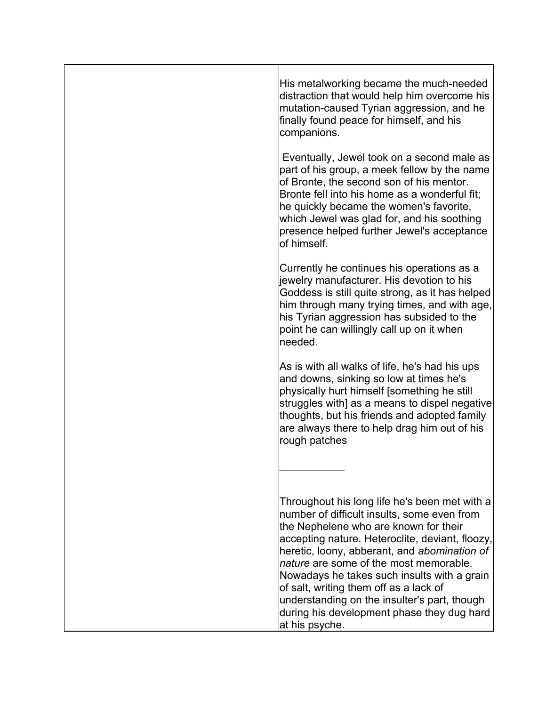| His metalworking became the much-needed<br>distraction that would help him overcome his<br>mutation-caused Tyrian aggression, and he<br>finally found peace for himself, and his<br>companions.                                                                                                                                                                                                                                                                                                 |
|-------------------------------------------------------------------------------------------------------------------------------------------------------------------------------------------------------------------------------------------------------------------------------------------------------------------------------------------------------------------------------------------------------------------------------------------------------------------------------------------------|
| Eventually, Jewel took on a second male as<br>part of his group, a meek fellow by the name<br>of Bronte, the second son of his mentor.<br>Bronte fell into his home as a wonderful fit;<br>he quickly became the women's favorite,<br>which Jewel was glad for, and his soothing<br>presence helped further Jewel's acceptance<br>lof himself.                                                                                                                                                  |
| Currently he continues his operations as a<br>jewelry manufacturer. His devotion to his<br>Goddess is still quite strong, as it has helped<br>him through many trying times, and with age,<br>his Tyrian aggression has subsided to the<br>point he can willingly call up on it when<br>lneeded.                                                                                                                                                                                                |
| As is with all walks of life, he's had his ups<br>and downs, sinking so low at times he's<br>physically hurt himself [something he still<br>struggles with] as a means to dispel negative<br>thoughts, but his friends and adopted family<br>are always there to help drag him out of his<br>rough patches                                                                                                                                                                                      |
|                                                                                                                                                                                                                                                                                                                                                                                                                                                                                                 |
| Throughout his long life he's been met with a<br>number of difficult insults, some even from<br>the Nephelene who are known for their<br>accepting nature. Heteroclite, deviant, floozy,<br>heretic, loony, abberant, and abomination of<br>$ $ nature are some of the most memorable.<br>Nowadays he takes such insults with a grain<br>of salt, writing them off as a lack of<br>understanding on the insulter's part, though<br>during his development phase they dug hard<br>at his psyche. |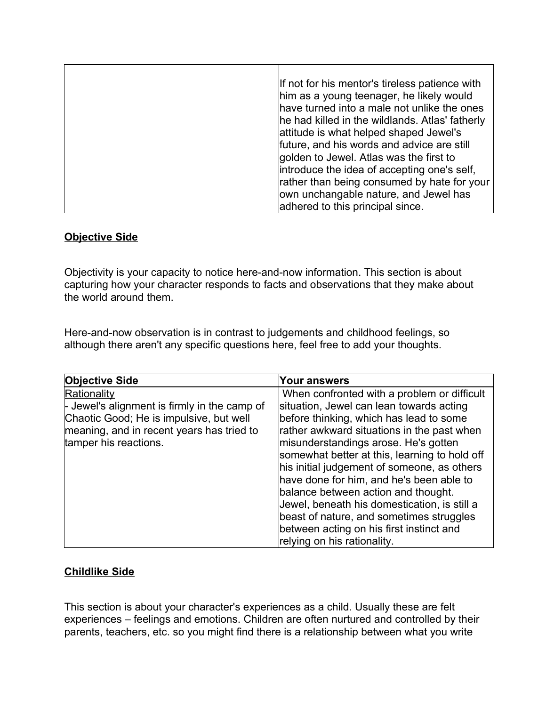| If not for his mentor's tireless patience with  |
|-------------------------------------------------|
| him as a young teenager, he likely would        |
| have turned into a male not unlike the ones     |
| he had killed in the wildlands. Atlas' fatherly |
| attitude is what helped shaped Jewel's          |
| future, and his words and advice are still      |
| golden to Jewel. Atlas was the first to         |
| introduce the idea of accepting one's self,     |
| rather than being consumed by hate for your     |
| own unchangable nature, and Jewel has           |
| adhered to this principal since.                |

## **Objective Side**

Objectivity is your capacity to notice here-and-now information. This section is about capturing how your character responds to facts and observations that they make about the world around them.

Here-and-now observation is in contrast to judgements and childhood feelings, so although there aren't any specific questions here, feel free to add your thoughts.

|                                                                                                                                                                                                              | Your answers                                                                                                                                                                                                                                                                                                                                                                                                                                                |
|--------------------------------------------------------------------------------------------------------------------------------------------------------------------------------------------------------------|-------------------------------------------------------------------------------------------------------------------------------------------------------------------------------------------------------------------------------------------------------------------------------------------------------------------------------------------------------------------------------------------------------------------------------------------------------------|
| <b>Objective Side</b><br>Rationality<br>$\vdash$ Jewel's alignment is firmly in the camp of<br>Chaotic Good; He is impulsive, but well<br>meaning, and in recent years has tried to<br>tamper his reactions. | When confronted with a problem or difficult<br>situation, Jewel can lean towards acting<br>before thinking, which has lead to some<br>rather awkward situations in the past when<br>misunderstandings arose. He's gotten<br>somewhat better at this, learning to hold off<br>his initial judgement of someone, as others<br>have done for him, and he's been able to<br>balance between action and thought.<br>Jewel, beneath his domestication, is still a |
|                                                                                                                                                                                                              | beast of nature, and sometimes struggles<br>between acting on his first instinct and<br>relying on his rationality.                                                                                                                                                                                                                                                                                                                                         |

# **Childlike Side**

This section is about your character's experiences as a child. Usually these are felt experiences – feelings and emotions. Children are often nurtured and controlled by their parents, teachers, etc. so you might find there is a relationship between what you write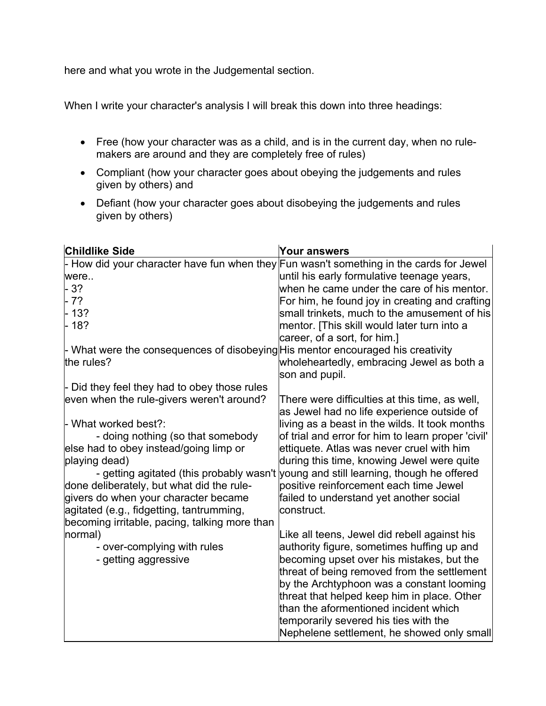here and what you wrote in the Judgemental section.

When I write your character's analysis I will break this down into three headings:

- · Free (how your character was as a child, and is in the current day, when no rulemakers are around and they are completely free of rules)
- · Compliant (how your character goes about obeying the judgements and rules given by others) and
- · Defiant (how your character goes about disobeying the judgements and rules given by others)

| <b>Childlike Side</b>                                                                              | Your answers                                                                         |
|----------------------------------------------------------------------------------------------------|--------------------------------------------------------------------------------------|
| - How did your character have fun when they $\mathsf{Fun}$ wasn't something in the cards for Jewel |                                                                                      |
| were                                                                                               | until his early formulative teenage years,                                           |
| 3?                                                                                                 | when he came under the care of his mentor.                                           |
| - 7?                                                                                               | For him, he found joy in creating and crafting                                       |
| 13?                                                                                                | small trinkets, much to the amusement of his                                         |
| $-18?$                                                                                             | mentor. [This skill would later turn into a                                          |
|                                                                                                    | career, of a sort, for him.]                                                         |
| - What were the consequences of disobeying His mentor encouraged his creativity                    |                                                                                      |
| the rules?                                                                                         | wholeheartedly, embracing Jewel as both a                                            |
|                                                                                                    | son and pupil.                                                                       |
| - Did they feel they had to obey those rules                                                       |                                                                                      |
| even when the rule-givers weren't around?                                                          | There were difficulties at this time, as well,                                       |
|                                                                                                    | as Jewel had no life experience outside of                                           |
| - What worked best?:                                                                               | living as a beast in the wilds. It took months                                       |
| - doing nothing (so that somebody                                                                  | of trial and error for him to learn proper 'civil'                                   |
| else had to obey instead/going limp or                                                             | ettiquete. Atlas was never cruel with him                                            |
| playing dead)                                                                                      | during this time, knowing Jewel were quite                                           |
|                                                                                                    | - getting agitated (this probably wasn't young and still learning, though he offered |
| done deliberately, but what did the rule-                                                          | positive reinforcement each time Jewel                                               |
| givers do when your character became                                                               | failed to understand yet another social                                              |
| agitated (e.g., fidgetting, tantrumming,                                                           | lconstruct.                                                                          |
| becoming irritable, pacing, talking more than                                                      |                                                                                      |
| normal)                                                                                            | Like all teens, Jewel did rebell against his                                         |
| - over-complying with rules                                                                        | authority figure, sometimes huffing up and                                           |
| - getting aggressive                                                                               | becoming upset over his mistakes, but the                                            |
|                                                                                                    | threat of being removed from the settlement                                          |
|                                                                                                    | by the Archtyphoon was a constant looming                                            |
|                                                                                                    | threat that helped keep him in place. Other                                          |
|                                                                                                    | than the aformentioned incident which                                                |
|                                                                                                    | temporarily severed his ties with the                                                |
|                                                                                                    | Nephelene settlement, he showed only small                                           |